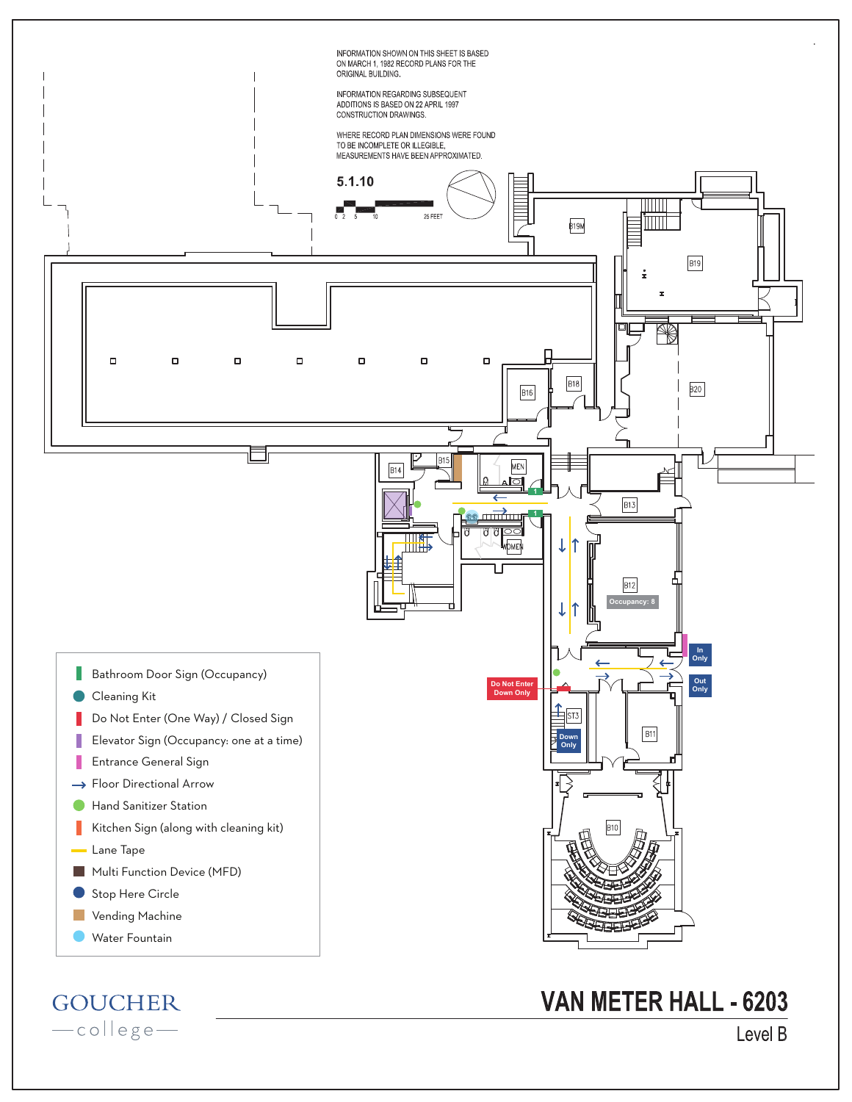

**GOUCHER** -college-

Level B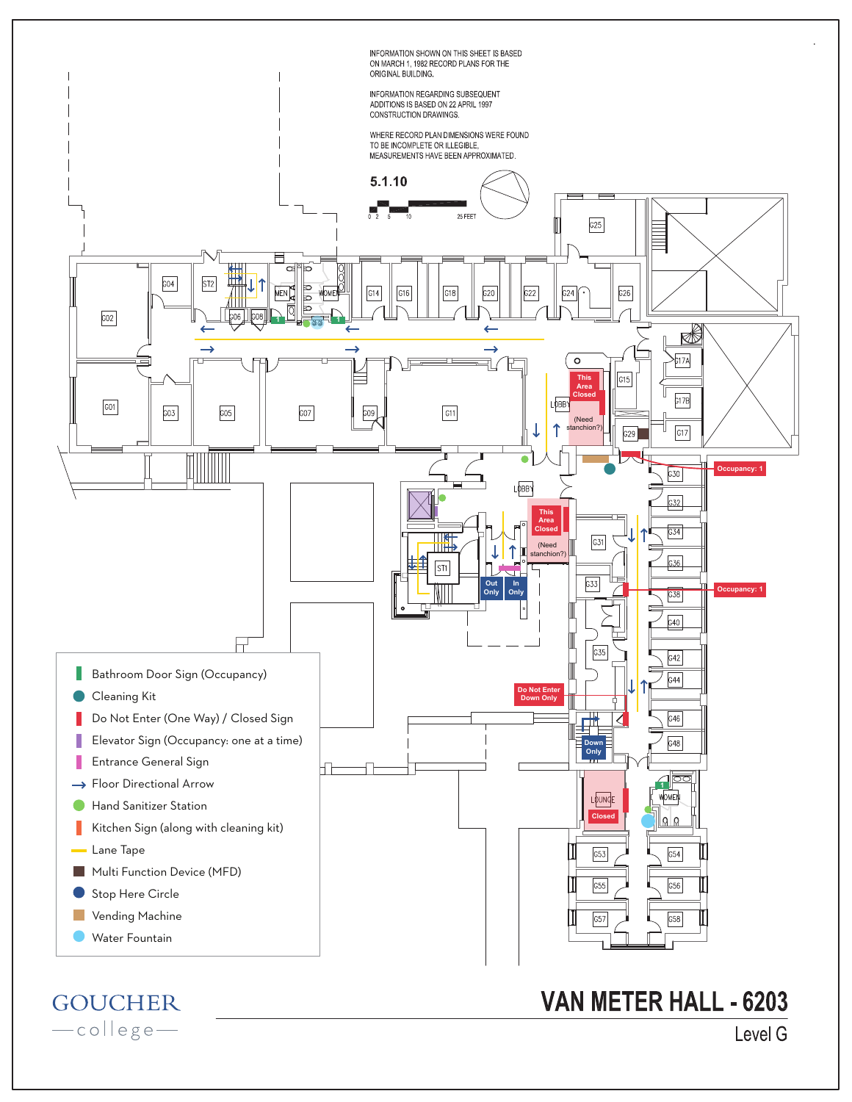

-college-

Level G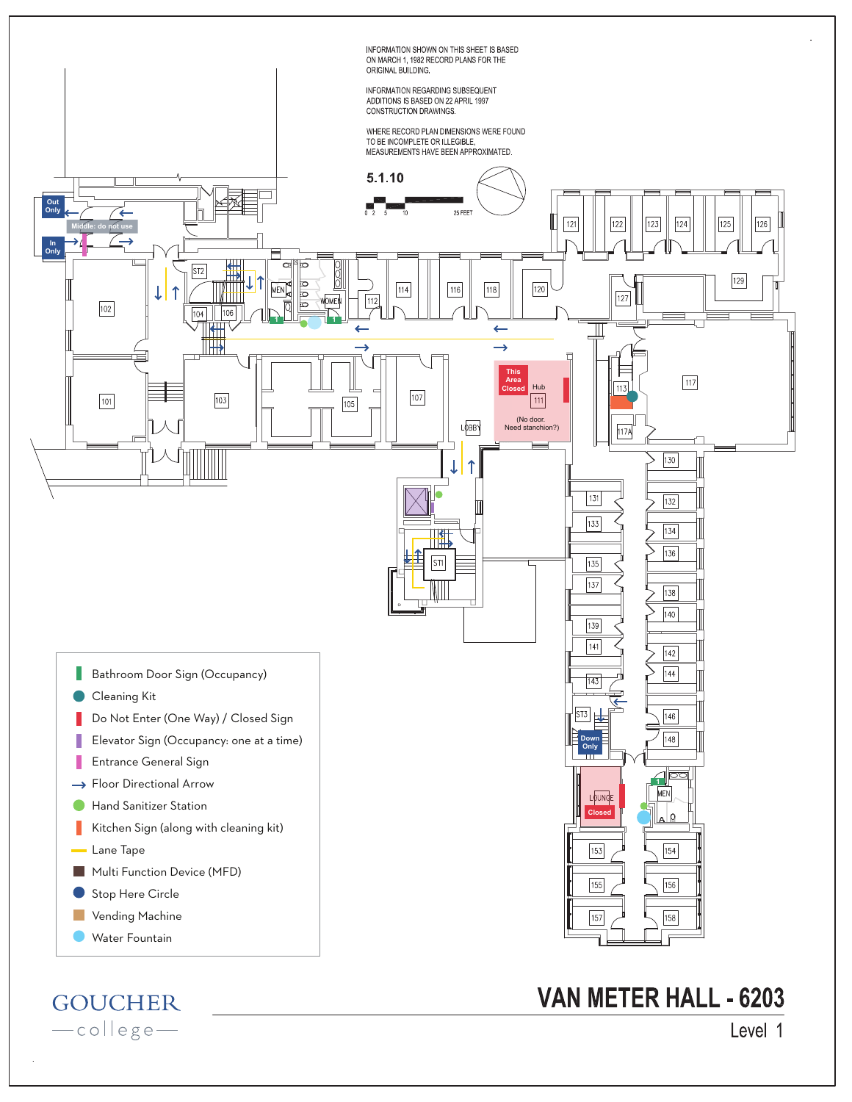

**GOUCHER** -collegeVAN METER HALL - 6203

Level 1